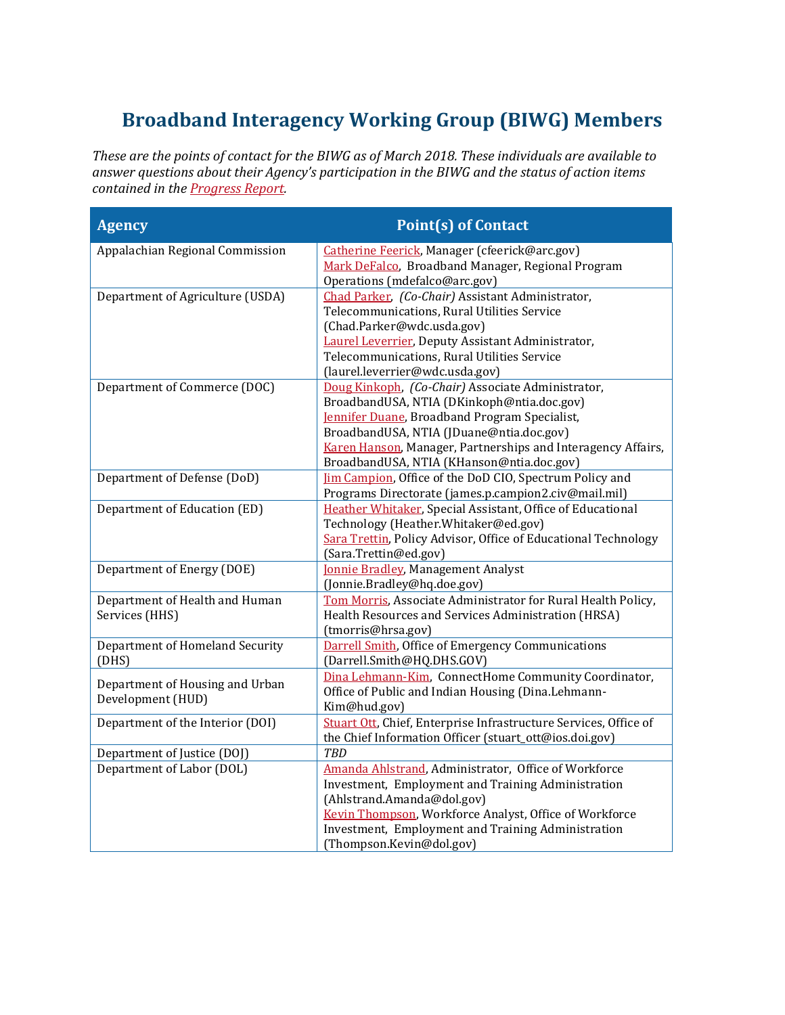## **Broadband Interagency Working Group (BIWG) Members**

*These are the points of contact for the BIWG as of March 2018. These individuals are available to answer questions about their Agency's participation in the BIWG and the status of action items contained in the [Progress Report.](https://www.ntia.doc.gov/files/ntia/publications/broadband_opportunity_council_agencies_progress_report_jan2017.pdf)* 

| <b>Agency</b>                                        | <b>Point(s) of Contact</b>                                                                                                                                                                                                                                                                                |
|------------------------------------------------------|-----------------------------------------------------------------------------------------------------------------------------------------------------------------------------------------------------------------------------------------------------------------------------------------------------------|
| Appalachian Regional Commission                      | Catherine Feerick, Manager (cfeerick@arc.gov)<br>Mark DeFalco, Broadband Manager, Regional Program<br>Operations (mdefalco@arc.gov)                                                                                                                                                                       |
| Department of Agriculture (USDA)                     | Chad Parker, (Co-Chair) Assistant Administrator,<br>Telecommunications, Rural Utilities Service<br>(Chad.Parker@wdc.usda.gov)<br>Laurel Leverrier, Deputy Assistant Administrator,<br>Telecommunications, Rural Utilities Service<br>(laurel.leverrier@wdc.usda.gov)                                      |
| Department of Commerce (DOC)                         | Doug Kinkoph, (Co-Chair) Associate Administrator,<br>BroadbandUSA, NTIA (DKinkoph@ntia.doc.gov)<br>Jennifer Duane, Broadband Program Specialist,<br>BroadbandUSA, NTIA (JDuane@ntia.doc.gov)<br>Karen Hanson, Manager, Partnerships and Interagency Affairs,<br>BroadbandUSA, NTIA (KHanson@ntia.doc.gov) |
| Department of Defense (DoD)                          | <b>Im Campion</b> , Office of the DoD CIO, Spectrum Policy and<br>Programs Directorate (james.p.campion2.civ@mail.mil)                                                                                                                                                                                    |
| Department of Education (ED)                         | Heather Whitaker, Special Assistant, Office of Educational<br>Technology (Heather.Whitaker@ed.gov)<br>Sara Trettin, Policy Advisor, Office of Educational Technology<br>(Sara.Trettin@ed.gov)                                                                                                             |
| Department of Energy (DOE)                           | <b>Jonnie Bradley</b> , Management Analyst<br>(Jonnie.Bradley@hq.doe.gov)                                                                                                                                                                                                                                 |
| Department of Health and Human<br>Services (HHS)     | Tom Morris, Associate Administrator for Rural Health Policy,<br>Health Resources and Services Administration (HRSA)<br>(tmorris@hrsa.gov)                                                                                                                                                                 |
| Department of Homeland Security<br>(DHS)             | <b>Darrell Smith, Office of Emergency Communications</b><br>(Darrell.Smith@HQ.DHS.GOV)                                                                                                                                                                                                                    |
| Department of Housing and Urban<br>Development (HUD) | Dina Lehmann-Kim, ConnectHome Community Coordinator,<br>Office of Public and Indian Housing (Dina.Lehmann-<br>Kim@hud.gov)                                                                                                                                                                                |
| Department of the Interior (DOI)                     | Stuart Ott, Chief, Enterprise Infrastructure Services, Office of<br>the Chief Information Officer (stuart_ott@ios.doi.gov)                                                                                                                                                                                |
| Department of Justice (DOJ)                          | <b>TBD</b>                                                                                                                                                                                                                                                                                                |
| Department of Labor (DOL)                            | Amanda Ahlstrand, Administrator, Office of Workforce<br>Investment, Employment and Training Administration<br>(Ahlstrand.Amanda@dol.gov)<br>Kevin Thompson, Workforce Analyst, Office of Workforce<br>Investment, Employment and Training Administration                                                  |
|                                                      | (Thompson.Kevin@dol.gov)                                                                                                                                                                                                                                                                                  |